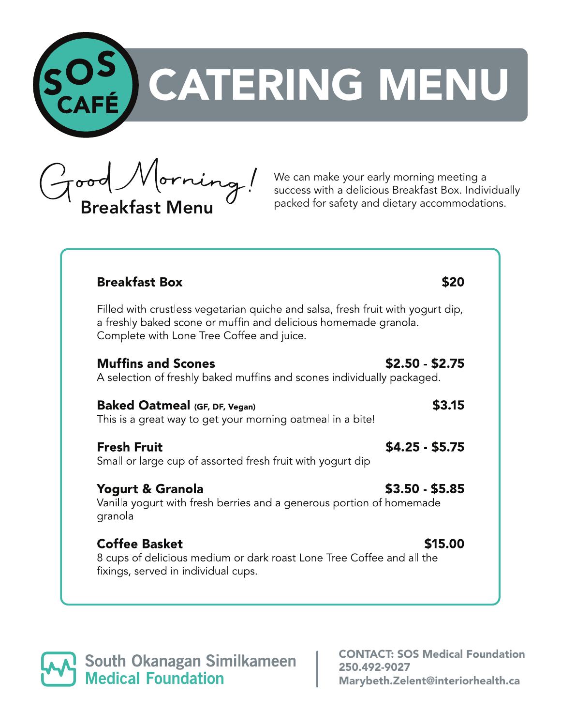

Good Morning! We can make your early morning meeting a success with a delicious Breakfast Box. Individual packed for safety and dietary accommodations.

We can make your early morning meeting a success with a delicious Breakfast Box. Individually

| <b>Breakfast Box</b>                                                                                                                                                                            | <b>\$20</b>     |
|-------------------------------------------------------------------------------------------------------------------------------------------------------------------------------------------------|-----------------|
| Filled with crustless vegetarian quiche and salsa, fresh fruit with yogurt dip,<br>a freshly baked scone or muffin and delicious homemade granola.<br>Complete with Lone Tree Coffee and juice. |                 |
| <b>Muffins and Scones</b><br>A selection of freshly baked muffins and scones individually packaged.                                                                                             | $$2.50 - $2.75$ |
| <b>Baked Oatmeal (GF, DF, Vegan)</b><br>This is a great way to get your morning oatmeal in a bite!                                                                                              | \$3.15          |
| <b>Fresh Fruit</b><br>Small or large cup of assorted fresh fruit with yogurt dip                                                                                                                | $$4.25 - $5.75$ |
| <b>Yogurt &amp; Granola</b><br>Vanilla yogurt with fresh berries and a generous portion of homemade<br>granola                                                                                  | $$3.50 - $5.85$ |
| <b>Coffee Basket</b><br>8 cups of delicious medium or dark roast Lone Tree Coffee and all the<br>fixings, served in individual cups.                                                            | \$15.00         |

**South Okanagan Similkameen<br>Medical Foundation** 

CONTACT: SOS Medical Foundation 250.492-9027 Marybeth.Zelent@interiorhealth.ca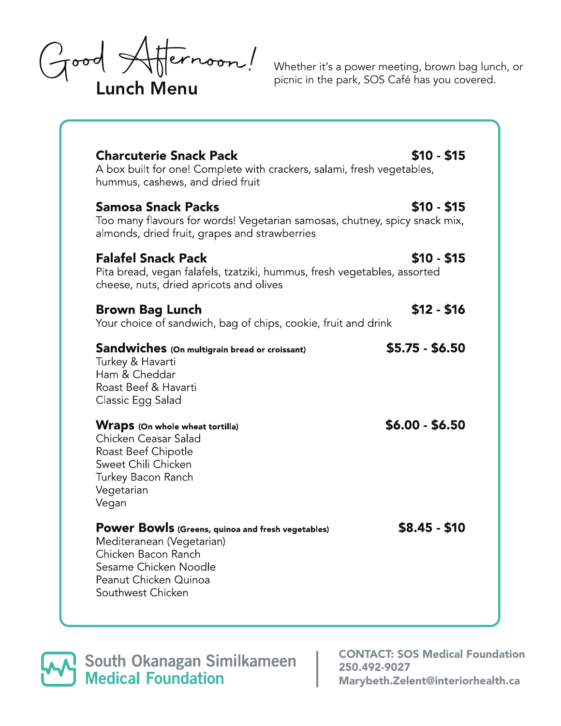Good Affernoon!

Whether it's a power meeting, brown bag lunch, or<br>picnic in the park, SOS Café has you covered.

| <b>Charcuterie Snack Pack</b><br>A box built for one! Complete with crackers, salami, fresh vegetables,<br>hummus, cashews, and dried fruit                                  | $$10 - $15$     |
|------------------------------------------------------------------------------------------------------------------------------------------------------------------------------|-----------------|
| <b>Samosa Snack Packs</b><br>Too many flavours for words! Vegetarian samosas, chutney, spicy snack mix,<br>almonds, dried fruit, grapes and strawberries                     | $$10 - $15$     |
| <b>Falafel Snack Pack</b><br>Pita bread, vegan falafels, tzatziki, hummus, fresh vegetables, assorted<br>cheese, nuts, dried apricots and olives                             | $$10 - $15$     |
| <b>Brown Bag Lunch</b><br>Your choice of sandwich, bag of chips, cookie, fruit and drink                                                                                     | $$12 - $16$     |
| Sandwiches (On multigrain bread or croissant)<br>Turkey & Havarti<br>Ham & Cheddar<br>Roast Beef & Havarti<br>Classic Egg Salad                                              | $$5.75 - $6.50$ |
| <b>Wraps</b> (On whole wheat tortilla)<br>Chicken Ceasar Salad<br>Roast Beef Chipotle<br>Sweet Chili Chicken<br>Turkey Bacon Ranch<br>Vegetarian<br>Vegan                    | $$6.00 - $6.50$ |
| Power Bowls (Greens, quinoa and fresh vegetables)<br>Mediteranean (Vegetarian)<br>Chicken Bacon Ranch<br>Sesame Chicken Noodle<br>Peanut Chicken Quinoa<br>Southwest Chicken | $$8.45 - $10$   |

**South Okanagan Similkameen<br>Medical Foundation** 

CONTACT: SOS Medical Foundation 250.492-9027 Marybeth.Zelent@interiorhealth.ca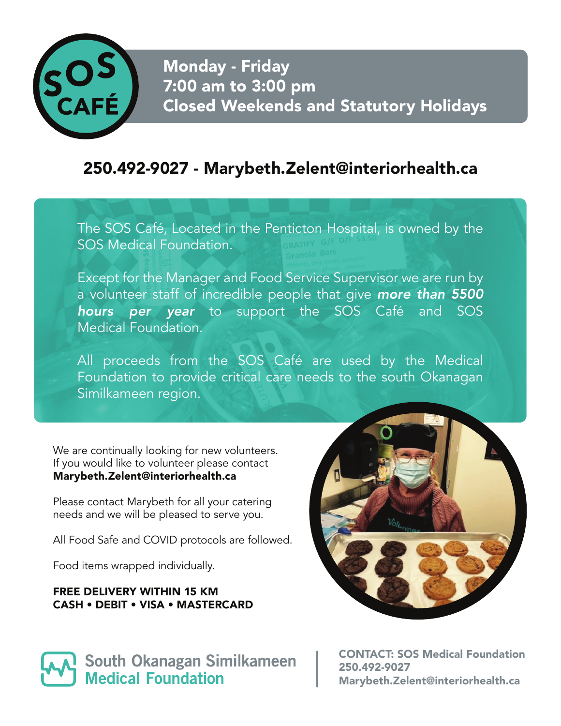

## Monday - Friday 7:00 am to 3:00 pm Closed Weekends and Statutory Holidays

## 250.492-9027 - Marybeth.Zelent@interiorhealth.ca

The SOS Café, Located in the Penticton Hospital, is owned by the SOS Medical Foundation.

Except for the Manager and Food Service Supervisor we are run by a volunteer staff of incredible people that give *more than 5500 hours per year* to support the SOS Café and SOS Medical Foundation.

All proceeds from the SOS Café are used by the Medical Foundation to provide critical care needs to the south Okanagan Similkameen region.

We are continually looking for new volunteers. If you would like to volunteer please contact Marybeth.Zelent@interiorhealth.ca

Please contact Marybeth for all your catering needs and we will be pleased to serve you.

All Food Safe and COVID protocols are followed.

Food items wrapped individually.

## FREE DELIVERY WITHIN 15 KM CASH • DEBIT • VISA • MASTERCARD





CONTACT: SOS Medical Foundation 250.492-9027 Marybeth.Zelent@interiorhealth.ca